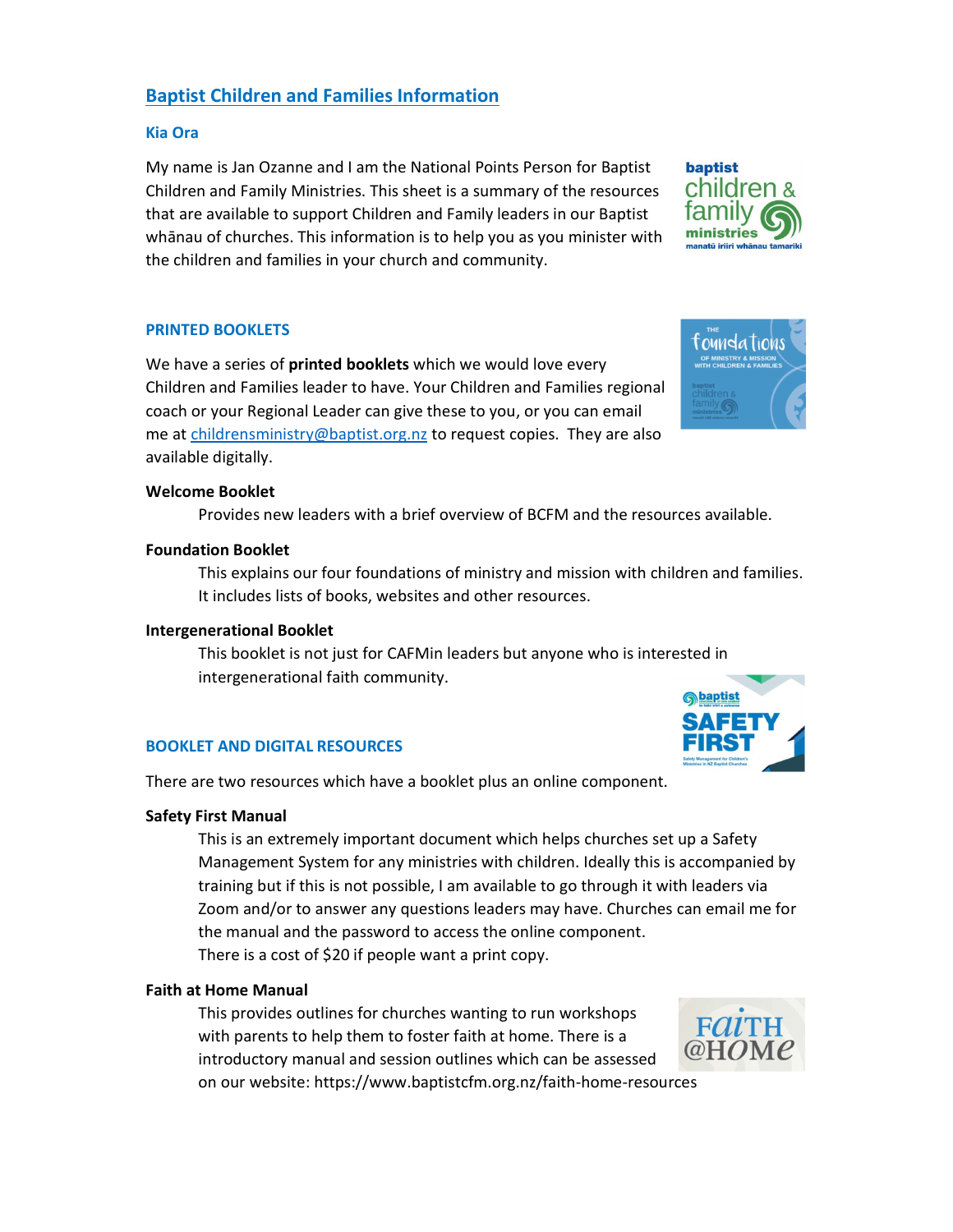# Baptist Children and Families Information

## Kia Ora

My name is Jan Ozanne and I am the National Points Person for Baptist Children and Family Ministries. This sheet is a summary of the resources that are available to support Children and Family leaders in our Baptist whānau of churches. This information is to help you as you minister with the children and families in your church and community.

# PRINTED BOOKLETS

We have a series of **printed booklets** which we would love every Children and Families leader to have. Your Children and Families regional coach or your Regional Leader can give these to you, or you can email me at childrensministry@baptist.org.nz to request copies. They are also available digitally.

#### Welcome Booklet

Provides new leaders with a brief overview of BCFM and the resources available.

#### Foundation Booklet

 This explains our four foundations of ministry and mission with children and families. It includes lists of books, websites and other resources.

#### Intergenerational Booklet

 This booklet is not just for CAFMin leaders but anyone who is interested in intergenerational faith community.

# BOOKLET AND DIGITAL RESOURCES

There are two resources which have a booklet plus an online component.

#### Safety First Manual

This is an extremely important document which helps churches set up a Safety Management System for any ministries with children. Ideally this is accompanied by training but if this is not possible, I am available to go through it with leaders via Zoom and/or to answer any questions leaders may have. Churches can email me for the manual and the password to access the online component. There is a cost of \$20 if people want a print copy.

# Faith at Home Manual

This provides outlines for churches wanting to run workshops with parents to help them to foster faith at home. There is a introductory manual and session outlines which can be assessed on our website: https://www.baptistcfm.org.nz/faith-home-resources